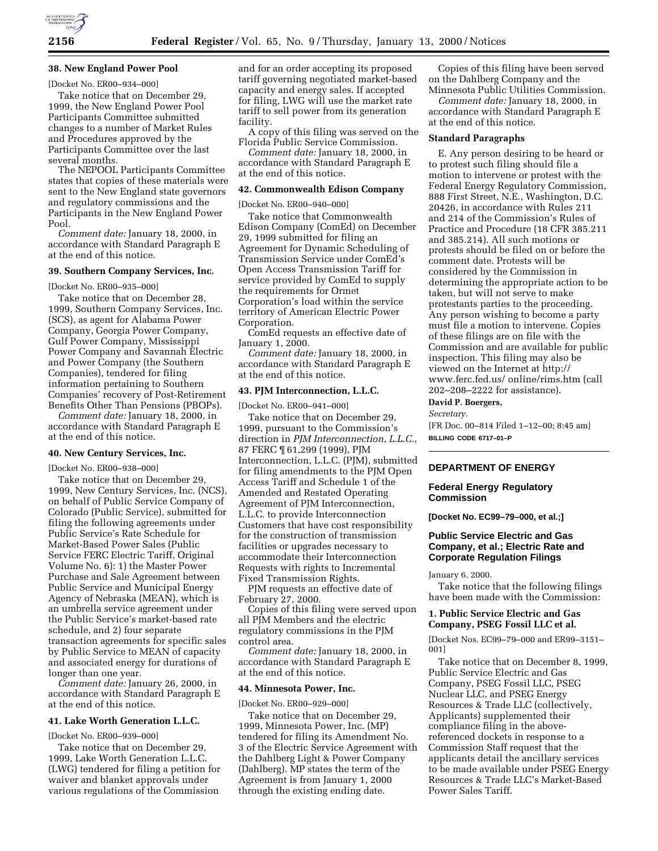

# **38. New England Power Pool**

[Docket No. ER00–934–000]

Take notice that on December 29, 1999, the New England Power Pool Participants Committee submitted changes to a number of Market Rules and Procedures approved by the Participants Committee over the last several months.

The NEPOOL Participants Committee states that copies of these materials were sent to the New England state governors and regulatory commissions and the Participants in the New England Power Pool.

*Comment date:* January 18, 2000, in accordance with Standard Paragraph E at the end of this notice.

## **39. Southern Company Services, Inc.**

[Docket No. ER00–935–000]

Take notice that on December 28, 1999, Southern Company Services, Inc. (SCS), as agent for Alabama Power Company, Georgia Power Company, Gulf Power Company, Mississippi Power Company and Savannah Electric and Power Company (the Southern Companies), tendered for filing information pertaining to Southern Companies' recovery of Post-Retirement Benefits Other Than Pensions (PBOPs).

*Comment date:* January 18, 2000, in accordance with Standard Paragraph E at the end of this notice.

## **40. New Century Services, Inc.**

[Docket No. ER00–938–000]

Take notice that on December 29, 1999, New Century Services, Inc. (NCS), on behalf of Public Service Company of Colorado (Public Service), submitted for filing the following agreements under Public Service's Rate Schedule for Market-Based Power Sales (Public Service FERC Electric Tariff, Original Volume No. 6): 1) the Master Power Purchase and Sale Agreement between Public Service and Municipal Energy Agency of Nebraska (MEAN), which is an umbrella service agreement under the Public Service's market-based rate schedule, and 2) four separate transaction agreements for specific sales by Public Service to MEAN of capacity and associated energy for durations of longer than one year.

*Comment date:* January 26, 2000, in accordance with Standard Paragraph E at the end of this notice.

### **41. Lake Worth Generation L.L.C.**

[Docket No. ER00–939–000]

Take notice that on December 29, 1999, Lake Worth Generation L.L.C. (LWG) tendered for filing a petition for waiver and blanket approvals under various regulations of the Commission

and for an order accepting its proposed tariff governing negotiated market-based capacity and energy sales. If accepted for filing, LWG will use the market rate tariff to sell power from its generation facility.

A copy of this filing was served on the Florida Public Service Commission.

*Comment date:* January 18, 2000, in accordance with Standard Paragraph E at the end of this notice.

### **42. Commonwealth Edison Company**

[Docket No. ER00–940–000]

Take notice that Commonwealth Edison Company (ComEd) on December 29, 1999 submitted for filing an Agreement for Dynamic Scheduling of Transmission Service under ComEd's Open Access Transmission Tariff for service provided by ComEd to supply the requirements for Ormet Corporation's load within the service territory of American Electric Power Corporation.

ComEd requests an effective date of January 1, 2000.

*Comment date:* January 18, 2000, in accordance with Standard Paragraph E at the end of this notice.

### **43. PJM Interconnection, L.L.C.**

[Docket No. ER00–941–000]

Take notice that on December 29, 1999, pursuant to the Commission's direction in *PJM Interconnection, L.L.C.*, 87 FERC ¶ 61,299 (1999), PJM Interconnection, L.L.C. (PJM), submitted for filing amendments to the PJM Open Access Tariff and Schedule 1 of the Amended and Restated Operating Agreement of PJM Interconnection, L.L.C. to provide Interconnection Customers that have cost responsibility for the construction of transmission facilities or upgrades necessary to accommodate their Interconnection Requests with rights to Incremental Fixed Transmission Rights.

PJM requests an effective date of February 27, 2000.

Copies of this filing were served upon all PJM Members and the electric regulatory commissions in the PJM control area.

*Comment date:* January 18, 2000, in accordance with Standard Paragraph E at the end of this notice.

### **44. Minnesota Power, Inc.**

[Docket No. ER00–929–000]

Take notice that on December 29, 1999, Minnesota Power, Inc. (MP) tendered for filing its Amendment No. 3 of the Electric Service Agreement with the Dahlberg Light & Power Company (Dahlberg). MP states the term of the Agreement is from January 1, 2000 through the existing ending date.

Copies of this filing have been served on the Dahlberg Company and the Minnesota Public Utilities Commission.

*Comment date:* January 18, 2000, in accordance with Standard Paragraph E at the end of this notice.

### **Standard Paragraphs**

E. Any person desiring to be heard or to protest such filing should file a motion to intervene or protest with the Federal Energy Regulatory Commission, 888 First Street, N.E., Washington, D.C. 20426, in accordance with Rules 211 and 214 of the Commission's Rules of Practice and Procedure (18 CFR 385.211 and 385.214). All such motions or protests should be filed on or before the comment date. Protests will be considered by the Commission in determining the appropriate action to be taken, but will not serve to make protestants parties to the proceeding. Any person wishing to become a party must file a motion to intervene. Copies of these filings are on file with the Commission and are available for public inspection. This filing may also be viewed on the Internet at http:// www.ferc.fed.us/ online/rims.htm (call 202–208–2222 for assistance).

**David P. Boergers,**

*Secretary.*

[FR Doc. 00–814 Filed 1–12–00; 8:45 am] **BILLING CODE 6717–01–P**

## **DEPARTMENT OF ENERGY**

### **Federal Energy Regulatory Commission**

**[Docket No. EC99–79–000, et al.;]**

## **Public Service Electric and Gas Company, et al.; Electric Rate and Corporate Regulation Filings**

January 6, 2000.

Take notice that the following filings have been made with the Commission:

## **1. Public Service Electric and Gas Company, PSEG Fossil LLC et al.**

[Docket Nos. EC99–79–000 and ER99–3151– 001]

Take notice that on December 8, 1999, Public Service Electric and Gas Company, PSEG Fossil LLC, PSEG Nuclear LLC, and PSEG Energy Resources & Trade LLC (collectively, Applicants) supplemented their compliance filing in the abovereferenced dockets in response to a Commission Staff request that the applicants detail the ancillary services to be made available under PSEG Energy Resources & Trade LLC's Market-Based Power Sales Tariff.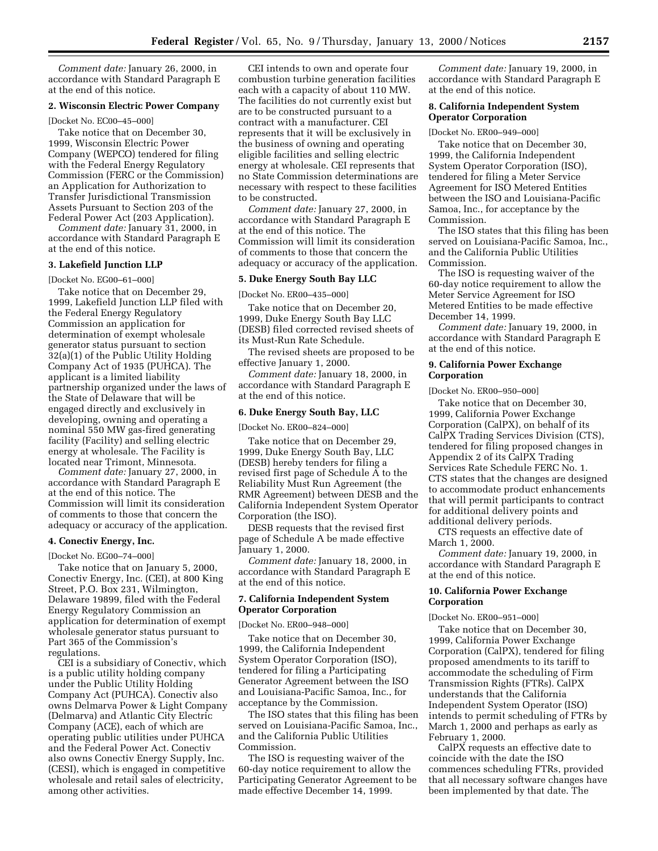*Comment date:* January 26, 2000, in accordance with Standard Paragraph E at the end of this notice.

## **2. Wisconsin Electric Power Company**

[Docket No. EC00–45–000]

Take notice that on December 30, 1999, Wisconsin Electric Power Company (WEPCO) tendered for filing with the Federal Energy Regulatory Commission (FERC or the Commission) an Application for Authorization to Transfer Jurisdictional Transmission Assets Pursuant to Section 203 of the Federal Power Act (203 Application).

*Comment date:* January 31, 2000, in accordance with Standard Paragraph E at the end of this notice.

### **3. Lakefield Junction LLP**

[Docket No. EG00–61–000]

Take notice that on December 29, 1999, Lakefield Junction LLP filed with the Federal Energy Regulatory Commission an application for determination of exempt wholesale generator status pursuant to section 32(a)(1) of the Public Utility Holding Company Act of 1935 (PUHCA). The applicant is a limited liability partnership organized under the laws of the State of Delaware that will be engaged directly and exclusively in developing, owning and operating a nominal 550 MW gas-fired generating facility (Facility) and selling electric energy at wholesale. The Facility is located near Trimont, Minnesota.

*Comment date:* January 27, 2000, in accordance with Standard Paragraph E at the end of this notice. The Commission will limit its consideration of comments to those that concern the adequacy or accuracy of the application.

#### **4. Conectiv Energy, Inc.**

[Docket No. EG00–74–000]

Take notice that on January 5, 2000, Conectiv Energy, Inc. (CEI), at 800 King Street, P.O. Box 231, Wilmington, Delaware 19899, filed with the Federal Energy Regulatory Commission an application for determination of exempt wholesale generator status pursuant to Part 365 of the Commission's regulations.

CEI is a subsidiary of Conectiv, which is a public utility holding company under the Public Utility Holding Company Act (PUHCA). Conectiv also owns Delmarva Power & Light Company (Delmarva) and Atlantic City Electric Company (ACE), each of which are operating public utilities under PUHCA and the Federal Power Act. Conectiv also owns Conectiv Energy Supply, Inc. (CESI), which is engaged in competitive wholesale and retail sales of electricity, among other activities.

CEI intends to own and operate four combustion turbine generation facilities each with a capacity of about 110 MW. The facilities do not currently exist but are to be constructed pursuant to a contract with a manufacturer. CEI represents that it will be exclusively in the business of owning and operating eligible facilities and selling electric energy at wholesale. CEI represents that no State Commission determinations are necessary with respect to these facilities to be constructed.

*Comment date:* January 27, 2000, in accordance with Standard Paragraph E at the end of this notice. The Commission will limit its consideration of comments to those that concern the adequacy or accuracy of the application.

### **5. Duke Energy South Bay LLC**

[Docket No. ER00–435–000]

Take notice that on December 20, 1999, Duke Energy South Bay LLC (DESB) filed corrected revised sheets of its Must-Run Rate Schedule.

The revised sheets are proposed to be effective January 1, 2000.

*Comment date:* January 18, 2000, in accordance with Standard Paragraph E at the end of this notice.

# **6. Duke Energy South Bay, LLC**

[Docket No. ER00–824–000]

Take notice that on December 29, 1999, Duke Energy South Bay, LLC (DESB) hereby tenders for filing a revised first page of Schedule A to the Reliability Must Run Agreement (the RMR Agreement) between DESB and the California Independent System Operator Corporation (the ISO).

DESB requests that the revised first page of Schedule A be made effective January 1, 2000.

*Comment date:* January 18, 2000, in accordance with Standard Paragraph E at the end of this notice.

## **7. California Independent System Operator Corporation**

[Docket No. ER00–948–000]

Take notice that on December 30, 1999, the California Independent System Operator Corporation (ISO), tendered for filing a Participating Generator Agreement between the ISO and Louisiana-Pacific Samoa, Inc., for acceptance by the Commission.

The ISO states that this filing has been served on Louisiana-Pacific Samoa, Inc., and the California Public Utilities Commission.

The ISO is requesting waiver of the 60-day notice requirement to allow the Participating Generator Agreement to be made effective December 14, 1999.

*Comment date:* January 19, 2000, in accordance with Standard Paragraph E at the end of this notice.

## **8. California Independent System Operator Corporation**

[Docket No. ER00–949–000]

Take notice that on December 30, 1999, the California Independent System Operator Corporation (ISO), tendered for filing a Meter Service Agreement for ISO Metered Entities between the ISO and Louisiana-Pacific Samoa, Inc., for acceptance by the Commission.

The ISO states that this filing has been served on Louisiana-Pacific Samoa, Inc., and the California Public Utilities Commission.

The ISO is requesting waiver of the 60-day notice requirement to allow the Meter Service Agreement for ISO Metered Entities to be made effective December 14, 1999.

*Comment date:* January 19, 2000, in accordance with Standard Paragraph E at the end of this notice.

## **9. California Power Exchange Corporation**

[Docket No. ER00–950–000]

Take notice that on December 30, 1999, California Power Exchange Corporation (CalPX), on behalf of its CalPX Trading Services Division (CTS), tendered for filing proposed changes in Appendix 2 of its CalPX Trading Services Rate Schedule FERC No. 1. CTS states that the changes are designed to accommodate product enhancements that will permit participants to contract for additional delivery points and additional delivery periods.

CTS requests an effective date of March 1, 2000.

*Comment date:* January 19, 2000, in accordance with Standard Paragraph E at the end of this notice.

## **10. California Power Exchange Corporation**

[Docket No. ER00–951–000]

Take notice that on December 30, 1999, California Power Exchange Corporation (CalPX), tendered for filing proposed amendments to its tariff to accommodate the scheduling of Firm Transmission Rights (FTRs). CalPX understands that the California Independent System Operator (ISO) intends to permit scheduling of FTRs by March 1, 2000 and perhaps as early as February 1, 2000.

CalPX requests an effective date to coincide with the date the ISO commences scheduling FTRs, provided that all necessary software changes have been implemented by that date. The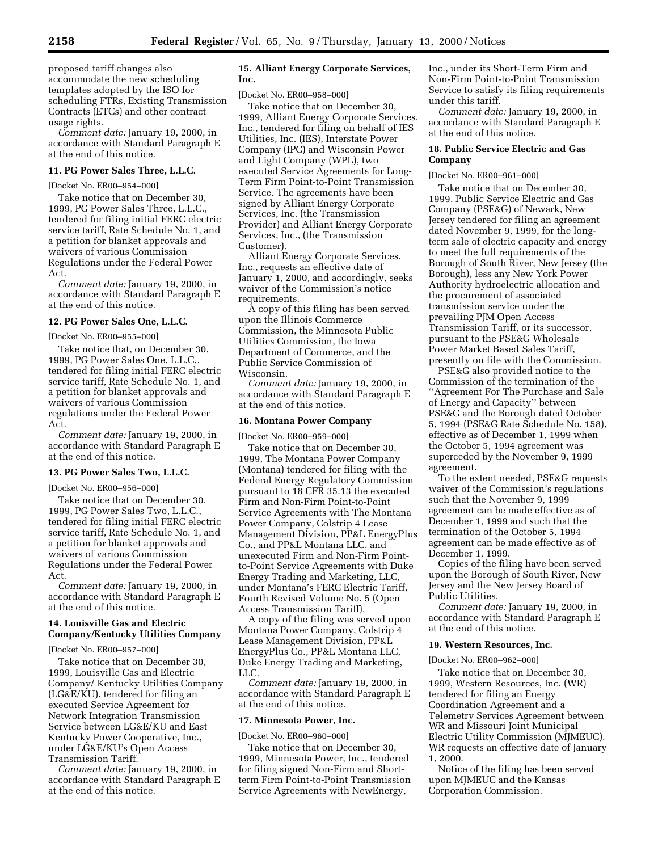proposed tariff changes also accommodate the new scheduling templates adopted by the ISO for scheduling FTRs, Existing Transmission Contracts (ETCs) and other contract usage rights.

*Comment date:* January 19, 2000, in accordance with Standard Paragraph E at the end of this notice.

## **11. PG Power Sales Three, L.L.C.**

[Docket No. ER00–954–000]

Take notice that on December 30, 1999, PG Power Sales Three, L.L.C., tendered for filing initial FERC electric service tariff, Rate Schedule No. 1, and a petition for blanket approvals and waivers of various Commission Regulations under the Federal Power Act.

*Comment date:* January 19, 2000, in accordance with Standard Paragraph E at the end of this notice.

# **12. PG Power Sales One, L.L.C.**

[Docket No. ER00–955–000]

Take notice that, on December 30, 1999, PG Power Sales One, L.L.C., tendered for filing initial FERC electric service tariff, Rate Schedule No. 1, and a petition for blanket approvals and waivers of various Commission regulations under the Federal Power Act.

*Comment date:* January 19, 2000, in accordance with Standard Paragraph E at the end of this notice.

### **13. PG Power Sales Two, L.L.C.**

[Docket No. ER00–956–000]

Take notice that on December 30, 1999, PG Power Sales Two, L.L.C., tendered for filing initial FERC electric service tariff, Rate Schedule No. 1, and a petition for blanket approvals and waivers of various Commission Regulations under the Federal Power Act.

*Comment date:* January 19, 2000, in accordance with Standard Paragraph E at the end of this notice.

## **14. Louisville Gas and Electric Company/Kentucky Utilities Company**

[Docket No. ER00–957–000]

Take notice that on December 30, 1999, Louisville Gas and Electric Company/ Kentucky Utilities Company (LG&E/KU), tendered for filing an executed Service Agreement for Network Integration Transmission Service between LG&E/KU and East Kentucky Power Cooperative, Inc., under LG&E/KU's Open Access Transmission Tariff.

*Comment date:* January 19, 2000, in accordance with Standard Paragraph E at the end of this notice.

## **15. Alliant Energy Corporate Services, Inc.**

[Docket No. ER00–958–000]

Take notice that on December 30, 1999, Alliant Energy Corporate Services, Inc., tendered for filing on behalf of IES Utilities, Inc. (IES), Interstate Power Company (IPC) and Wisconsin Power and Light Company (WPL), two executed Service Agreements for Long-Term Firm Point-to-Point Transmission Service. The agreements have been signed by Alliant Energy Corporate Services, Inc. (the Transmission Provider) and Alliant Energy Corporate Services, Inc., (the Transmission Customer).

Alliant Energy Corporate Services, Inc., requests an effective date of January 1, 2000, and accordingly, seeks waiver of the Commission's notice requirements.

A copy of this filing has been served upon the Illinois Commerce Commission, the Minnesota Public Utilities Commission, the Iowa Department of Commerce, and the Public Service Commission of Wisconsin.

*Comment date:* January 19, 2000, in accordance with Standard Paragraph E at the end of this notice.

### **16. Montana Power Company**

[Docket No. ER00–959–000]

Take notice that on December 30, 1999, The Montana Power Company (Montana) tendered for filing with the Federal Energy Regulatory Commission pursuant to 18 CFR 35.13 the executed Firm and Non-Firm Point-to-Point Service Agreements with The Montana Power Company, Colstrip 4 Lease Management Division, PP&L EnergyPlus Co., and PP&L Montana LLC, and unexecuted Firm and Non-Firm Pointto-Point Service Agreements with Duke Energy Trading and Marketing, LLC, under Montana's FERC Electric Tariff, Fourth Revised Volume No. 5 (Open Access Transmission Tariff).

A copy of the filing was served upon Montana Power Company, Colstrip 4 Lease Management Division, PP&L EnergyPlus Co., PP&L Montana LLC, Duke Energy Trading and Marketing, LLC.

*Comment date:* January 19, 2000, in accordance with Standard Paragraph E at the end of this notice.

### **17. Minnesota Power, Inc.**

[Docket No. ER00–960–000]

Take notice that on December 30, 1999, Minnesota Power, Inc., tendered for filing signed Non-Firm and Shortterm Firm Point-to-Point Transmission Service Agreements with NewEnergy,

Inc., under its Short-Term Firm and Non-Firm Point-to-Point Transmission Service to satisfy its filing requirements under this tariff.

*Comment date:* January 19, 2000, in accordance with Standard Paragraph E at the end of this notice.

## **18. Public Service Electric and Gas Company**

[Docket No. ER00–961–000]

Take notice that on December 30, 1999, Public Service Electric and Gas Company (PSE&G) of Newark, New Jersey tendered for filing an agreement dated November 9, 1999, for the longterm sale of electric capacity and energy to meet the full requirements of the Borough of South River, New Jersey (the Borough), less any New York Power Authority hydroelectric allocation and the procurement of associated transmission service under the prevailing PJM Open Access Transmission Tariff, or its successor, pursuant to the PSE&G Wholesale Power Market Based Sales Tariff, presently on file with the Commission.

PSE&G also provided notice to the Commission of the termination of the ''Agreement For The Purchase and Sale of Energy and Capacity'' between PSE&G and the Borough dated October 5, 1994 (PSE&G Rate Schedule No. 158), effective as of December 1, 1999 when the October 5, 1994 agreement was superceded by the November 9, 1999 agreement.

To the extent needed, PSE&G requests waiver of the Commission's regulations such that the November 9, 1999 agreement can be made effective as of December 1, 1999 and such that the termination of the October 5, 1994 agreement can be made effective as of December 1, 1999.

Copies of the filing have been served upon the Borough of South River, New Jersey and the New Jersey Board of Public Utilities.

*Comment date:* January 19, 2000, in accordance with Standard Paragraph E at the end of this notice.

### **19. Western Resources, Inc.**

[Docket No. ER00–962–000]

Take notice that on December 30, 1999, Western Resources, Inc. (WR) tendered for filing an Energy Coordination Agreement and a Telemetry Services Agreement between WR and Missouri Joint Municipal Electric Utility Commission (MJMEUC). WR requests an effective date of January 1, 2000.

Notice of the filing has been served upon MJMEUC and the Kansas Corporation Commission.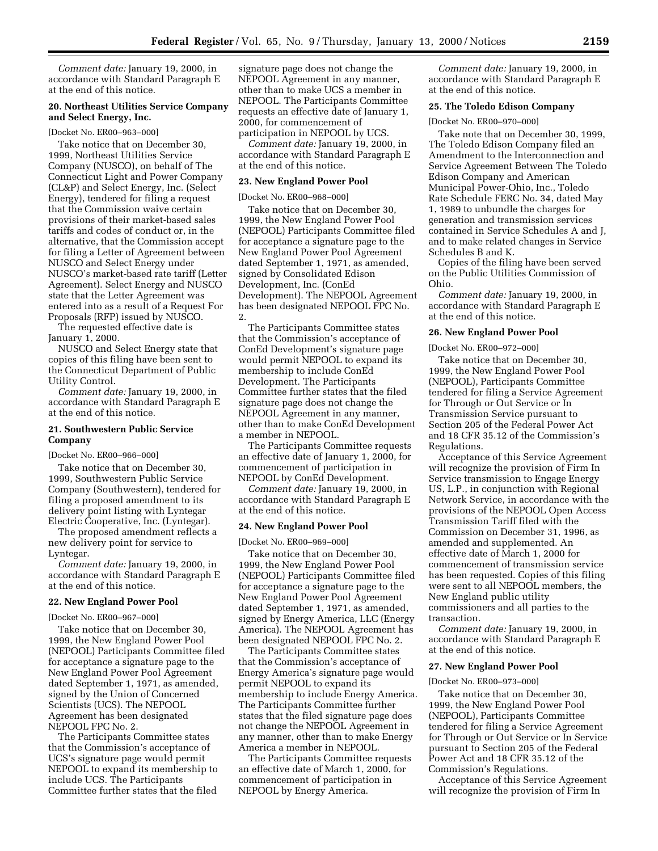*Comment date:* January 19, 2000, in accordance with Standard Paragraph E at the end of this notice.

## **20. Northeast Utilities Service Company and Select Energy, Inc.**

#### [Docket No. ER00–963–000]

Take notice that on December 30, 1999, Northeast Utilities Service Company (NUSCO), on behalf of The Connecticut Light and Power Company (CL&P) and Select Energy, Inc. (Select Energy), tendered for filing a request that the Commission waive certain provisions of their market-based sales tariffs and codes of conduct or, in the alternative, that the Commission accept for filing a Letter of Agreement between NUSCO and Select Energy under NUSCO's market-based rate tariff (Letter Agreement). Select Energy and NUSCO state that the Letter Agreement was entered into as a result of a Request For Proposals (RFP) issued by NUSCO.

The requested effective date is January 1, 2000.

NUSCO and Select Energy state that copies of this filing have been sent to the Connecticut Department of Public Utility Control.

*Comment date:* January 19, 2000, in accordance with Standard Paragraph E at the end of this notice.

### **21. Southwestern Public Service Company**

[Docket No. ER00–966–000]

Take notice that on December 30, 1999, Southwestern Public Service Company (Southwestern), tendered for filing a proposed amendment to its delivery point listing with Lyntegar Electric Cooperative, Inc. (Lyntegar).

The proposed amendment reflects a new delivery point for service to Lyntegar.

*Comment date:* January 19, 2000, in accordance with Standard Paragraph E at the end of this notice.

### **22. New England Power Pool**

[Docket No. ER00–967–000]

Take notice that on December 30, 1999, the New England Power Pool (NEPOOL) Participants Committee filed for acceptance a signature page to the New England Power Pool Agreement dated September 1, 1971, as amended, signed by the Union of Concerned Scientists (UCS). The NEPOOL Agreement has been designated NEPOOL FPC No. 2.

The Participants Committee states that the Commission's acceptance of UCS's signature page would permit NEPOOL to expand its membership to include UCS. The Participants Committee further states that the filed

signature page does not change the NEPOOL Agreement in any manner, other than to make UCS a member in NEPOOL. The Participants Committee requests an effective date of January 1, 2000, for commencement of participation in NEPOOL by UCS.

*Comment date:* January 19, 2000, in accordance with Standard Paragraph E at the end of this notice.

### **23. New England Power Pool**

[Docket No. ER00–968–000]

Take notice that on December 30, 1999, the New England Power Pool (NEPOOL) Participants Committee filed for acceptance a signature page to the New England Power Pool Agreement dated September 1, 1971, as amended, signed by Consolidated Edison Development, Inc. (ConEd Development). The NEPOOL Agreement has been designated NEPOOL FPC No. 2.

The Participants Committee states that the Commission's acceptance of ConEd Development's signature page would permit NEPOOL to expand its membership to include ConEd Development. The Participants Committee further states that the filed signature page does not change the NEPOOL Agreement in any manner, other than to make ConEd Development a member in NEPOOL.

The Participants Committee requests an effective date of January 1, 2000, for commencement of participation in NEPOOL by ConEd Development.

*Comment date:* January 19, 2000, in accordance with Standard Paragraph E at the end of this notice.

#### **24. New England Power Pool**

[Docket No. ER00–969–000]

Take notice that on December 30, 1999, the New England Power Pool (NEPOOL) Participants Committee filed for acceptance a signature page to the New England Power Pool Agreement dated September 1, 1971, as amended, signed by Energy America, LLC (Energy America). The NEPOOL Agreement has been designated NEPOOL FPC No. 2.

The Participants Committee states that the Commission's acceptance of Energy America's signature page would permit NEPOOL to expand its membership to include Energy America. The Participants Committee further states that the filed signature page does not change the NEPOOL Agreement in any manner, other than to make Energy America a member in NEPOOL.

The Participants Committee requests an effective date of March 1, 2000, for commencement of participation in NEPOOL by Energy America.

*Comment date:* January 19, 2000, in accordance with Standard Paragraph E at the end of this notice.

### **25. The Toledo Edison Company**

[Docket No. ER00–970–000]

Take note that on December 30, 1999, The Toledo Edison Company filed an Amendment to the Interconnection and Service Agreement Between The Toledo Edison Company and American Municipal Power-Ohio, Inc., Toledo Rate Schedule FERC No. 34, dated May 1, 1989 to unbundle the charges for generation and transmission services contained in Service Schedules A and J, and to make related changes in Service Schedules B and K.

Copies of the filing have been served on the Public Utilities Commission of Ohio.

*Comment date:* January 19, 2000, in accordance with Standard Paragraph E at the end of this notice.

### **26. New England Power Pool**

[Docket No. ER00–972–000]

Take notice that on December 30, 1999, the New England Power Pool (NEPOOL), Participants Committee tendered for filing a Service Agreement for Through or Out Service or In Transmission Service pursuant to Section 205 of the Federal Power Act and 18 CFR 35.12 of the Commission's Regulations.

Acceptance of this Service Agreement will recognize the provision of Firm In Service transmission to Engage Energy US, L.P., in conjunction with Regional Network Service, in accordance with the provisions of the NEPOOL Open Access Transmission Tariff filed with the Commission on December 31, 1996, as amended and supplemented. An effective date of March 1, 2000 for commencement of transmission service has been requested. Copies of this filing were sent to all NEPOOL members, the New England public utility commissioners and all parties to the transaction.

*Comment date:* January 19, 2000, in accordance with Standard Paragraph E at the end of this notice.

## **27. New England Power Pool**

#### [Docket No. ER00–973–000]

Take notice that on December 30, 1999, the New England Power Pool (NEPOOL), Participants Committee tendered for filing a Service Agreement for Through or Out Service or In Service pursuant to Section 205 of the Federal Power Act and 18 CFR 35.12 of the Commission's Regulations.

Acceptance of this Service Agreement will recognize the provision of Firm In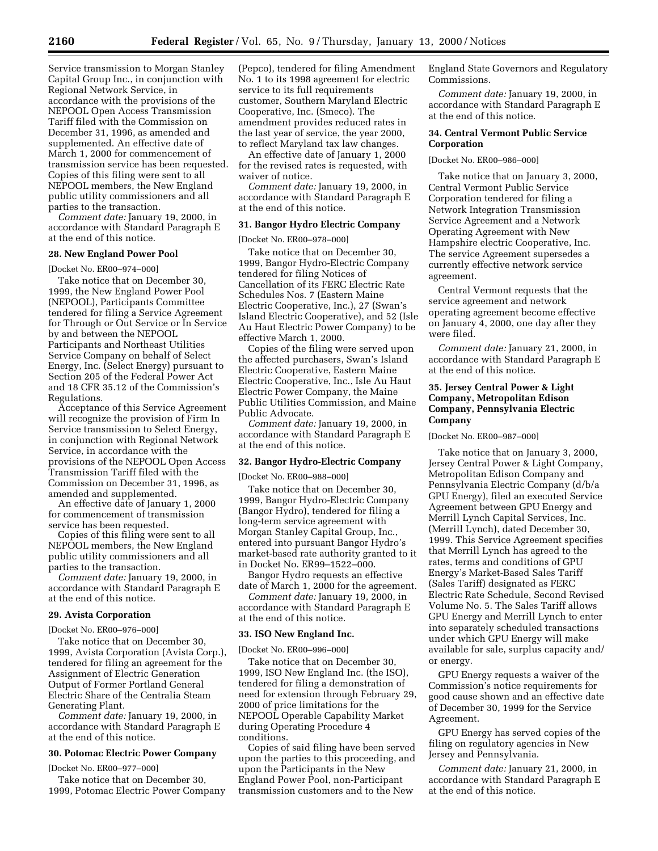Service transmission to Morgan Stanley Capital Group Inc., in conjunction with Regional Network Service, in accordance with the provisions of the NEPOOL Open Access Transmission Tariff filed with the Commission on December 31, 1996, as amended and supplemented. An effective date of March 1, 2000 for commencement of transmission service has been requested. Copies of this filing were sent to all NEPOOL members, the New England public utility commissioners and all parties to the transaction.

*Comment date:* January 19, 2000, in accordance with Standard Paragraph E at the end of this notice.

## **28. New England Power Pool**

[Docket No. ER00–974–000]

Take notice that on December 30, 1999, the New England Power Pool (NEPOOL), Participants Committee tendered for filing a Service Agreement for Through or Out Service or In Service by and between the NEPOOL Participants and Northeast Utilities Service Company on behalf of Select Energy, Inc. (Select Energy) pursuant to Section 205 of the Federal Power Act and 18 CFR 35.12 of the Commission's Regulations.

Acceptance of this Service Agreement will recognize the provision of Firm In Service transmission to Select Energy, in conjunction with Regional Network Service, in accordance with the provisions of the NEPOOL Open Access Transmission Tariff filed with the Commission on December 31, 1996, as amended and supplemented.

An effective date of January 1, 2000 for commencement of transmission service has been requested.

Copies of this filing were sent to all NEPOOL members, the New England public utility commissioners and all parties to the transaction.

*Comment date:* January 19, 2000, in accordance with Standard Paragraph E at the end of this notice.

### **29. Avista Corporation**

[Docket No. ER00–976–000]

Take notice that on December 30, 1999, Avista Corporation (Avista Corp.), tendered for filing an agreement for the Assignment of Electric Generation Output of Former Portland General Electric Share of the Centralia Steam Generating Plant.

*Comment date:* January 19, 2000, in accordance with Standard Paragraph E at the end of this notice.

### **30. Potomac Electric Power Company**

[Docket No. ER00–977–000]

Take notice that on December 30, 1999, Potomac Electric Power Company

(Pepco), tendered for filing Amendment No. 1 to its 1998 agreement for electric service to its full requirements customer, Southern Maryland Electric Cooperative, Inc. (Smeco). The amendment provides reduced rates in the last year of service, the year 2000, to reflect Maryland tax law changes.

An effective date of January 1, 2000 for the revised rates is requested, with waiver of notice.

*Comment date:* January 19, 2000, in accordance with Standard Paragraph E at the end of this notice.

### **31. Bangor Hydro Electric Company**

[Docket No. ER00–978–000]

Take notice that on December 30, 1999, Bangor Hydro-Electric Company tendered for filing Notices of Cancellation of its FERC Electric Rate Schedules Nos. 7 (Eastern Maine Electric Cooperative, Inc.), 27 (Swan's Island Electric Cooperative), and 52 (Isle Au Haut Electric Power Company) to be effective March 1, 2000.

Copies of the filing were served upon the affected purchasers, Swan's Island Electric Cooperative, Eastern Maine Electric Cooperative, Inc., Isle Au Haut Electric Power Company, the Maine Public Utilities Commission, and Maine Public Advocate.

*Comment date:* January 19, 2000, in accordance with Standard Paragraph E at the end of this notice.

### **32. Bangor Hydro-Electric Company**

[Docket No. ER00–988–000]

Take notice that on December 30, 1999, Bangor Hydro-Electric Company (Bangor Hydro), tendered for filing a long-term service agreement with Morgan Stanley Capital Group, Inc., entered into pursuant Bangor Hydro's market-based rate authority granted to it in Docket No. ER99–1522–000.

Bangor Hydro requests an effective date of March 1, 2000 for the agreement.

*Comment date:* January 19, 2000, in accordance with Standard Paragraph E at the end of this notice.

#### **33. ISO New England Inc.**

[Docket No. ER00–996–000]

Take notice that on December 30, 1999, ISO New England Inc. (the ISO), tendered for filing a demonstration of need for extension through February 29, 2000 of price limitations for the NEPOOL Operable Capability Market during Operating Procedure 4 conditions.

Copies of said filing have been served upon the parties to this proceeding, and upon the Participants in the New England Power Pool, non-Participant transmission customers and to the New

England State Governors and Regulatory Commissions.

*Comment date:* January 19, 2000, in accordance with Standard Paragraph E at the end of this notice.

## **34. Central Vermont Public Service Corporation**

#### [Docket No. ER00–986–000]

Take notice that on January 3, 2000, Central Vermont Public Service Corporation tendered for filing a Network Integration Transmission Service Agreement and a Network Operating Agreement with New Hampshire electric Cooperative, Inc. The service Agreement supersedes a currently effective network service agreement.

Central Vermont requests that the service agreement and network operating agreement become effective on January 4, 2000, one day after they were filed.

*Comment date:* January 21, 2000, in accordance with Standard Paragraph E at the end of this notice.

## **35. Jersey Central Power & Light Company, Metropolitan Edison Company, Pennsylvania Electric Company**

[Docket No. ER00–987–000]

Take notice that on January 3, 2000, Jersey Central Power & Light Company, Metropolitan Edison Company and Pennsylvania Electric Company (d/b/a GPU Energy), filed an executed Service Agreement between GPU Energy and Merrill Lynch Capital Services, Inc. (Merrill Lynch), dated December 30, 1999. This Service Agreement specifies that Merrill Lynch has agreed to the rates, terms and conditions of GPU Energy's Market-Based Sales Tariff (Sales Tariff) designated as FERC Electric Rate Schedule, Second Revised Volume No. 5. The Sales Tariff allows GPU Energy and Merrill Lynch to enter into separately scheduled transactions under which GPU Energy will make available for sale, surplus capacity and/ or energy.

GPU Energy requests a waiver of the Commission's notice requirements for good cause shown and an effective date of December 30, 1999 for the Service Agreement.

GPU Energy has served copies of the filing on regulatory agencies in New Jersey and Pennsylvania.

*Comment date:* January 21, 2000, in accordance with Standard Paragraph E at the end of this notice.